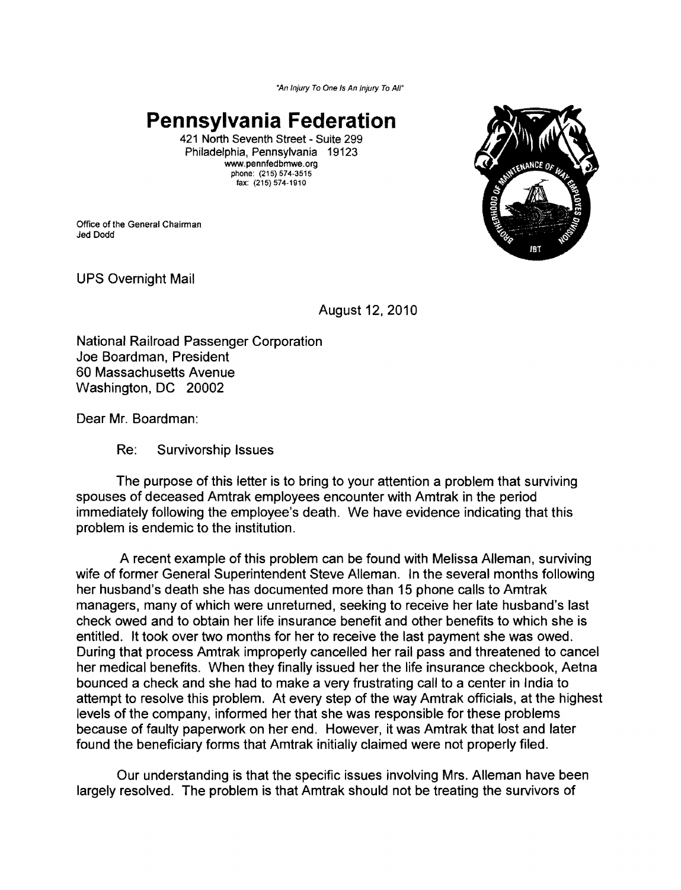*"An Injury To One Is An Injury To Air* 

## **Pennsylvania Federation**

421 North Seventh Street - Suite 299 Philadelphia, Pennsylvania 19123 www.pennfedbmwe.org phone: (215) 574-3515 fax: (215) 574-1910

Office of the General Chairman Jed Dodd



UPS Overnight Mail

August 12, 2010

National Railroad Passenger Corporation Joe Boardman, President 60 Massachusetts Avenue Washington, DC 20002

Dear Mr. Boardman:

Re: Survivorship Issues

The purpose of this letter is to bring to your attention a problem that surviving spouses of deceased Amtrak employees encounter with Amtrak in the period immediately following the employee's death. We have evidence indicating that this problem is endemic to the institution.

A recent example of this problem can be found with Melissa Alleman, surviving wife of former General Superintendent Steve Alleman. In the several months following her husband's death she has documented more than 15 phone calls to Amtrak managers, many of which were unreturned, seeking to receive her late husband's last check owed and to obtain her life insurance benefit and other benefits to which she is entitled. It took over two months for her to receive the last payment she was owed. During that process Amtrak improperly cancelled her rail pass and threatened to cancel her medical benefits. When they finally issued her the life insurance checkbook, Aetna bounced a check and she had to make a very frustrating call to a center in India to attempt to resolve this problem. At every step of the way Amtrak officials, at the highest levels of the company, informed her that she was responsible for these problems because of faulty paperwork on her end. However, it was Amtrak that lost and later found the beneficiary forms that Amtrak initially claimed were not properly filed.

Our understanding is that the specific issues involving Mrs. Alleman have been largely resolved. The problem is that Amtrak should not be treating the survivors of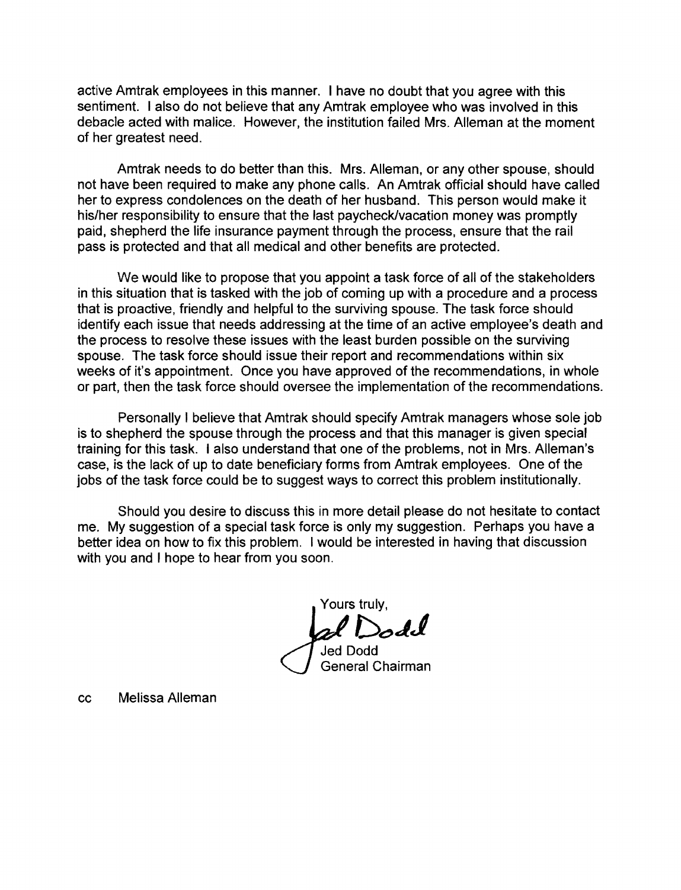active Amtrak employees in this manner. I have no doubt that you agree with this sentiment. I also do not believe that any Amtrak employee who was involved in this debacle acted with malice. However, the institution failed Mrs. Alleman at the moment of her greatest need.

Amtrak needs to do better than this. Mrs. Alleman, or any other spouse, should not have been required to make any phone calls. An Amtrak official should have called her to express condolences on the death of her husband. This person would make it his/her responsibility to ensure that the last paycheck/vacation money was promptly paid, shepherd the life insurance payment through the process, ensure that the rail pass is protected and that all medical and other benefits are protected.

We would like to propose that you appoint a task force of all of the stakeholders in this situation that is tasked with the job of coming up with a procedure and a process that is proactive, friendly and helpful to the surviving spouse. The task force should identify each issue that needs addressing at the time of an active employee's death and the process to resolve these issues with the least burden possible on the surviving spouse. The task force should issue their report and recommendations within six weeks of it's appointment. Once you have approved of the recommendations, in whole or part, then the task force should oversee the implementation of the recommendations.

Personally I believe that Amtrak should specify Amtrak managers whose sole job is to shepherd the spouse through the process and that this manager is given special training for this task. I also understand that one of the problems, not in Mrs. Alleman's case, is the lack of up to date beneficiary forms from Amtrak employees. One of the jobs of the task force could be to suggest ways to correct this problem institutionally.

Should you desire to discuss this in more detail please do not hesitate to contact me. My suggestion of a special task force is only my suggestion. Perhaps you have a better idea on how to fix this problem. I would be interested in having that discussion with you and I hope to hear from you soon.

Yours truly, *jif De>JJ*  Jed Dodd

General Chairman

cc Melissa Alleman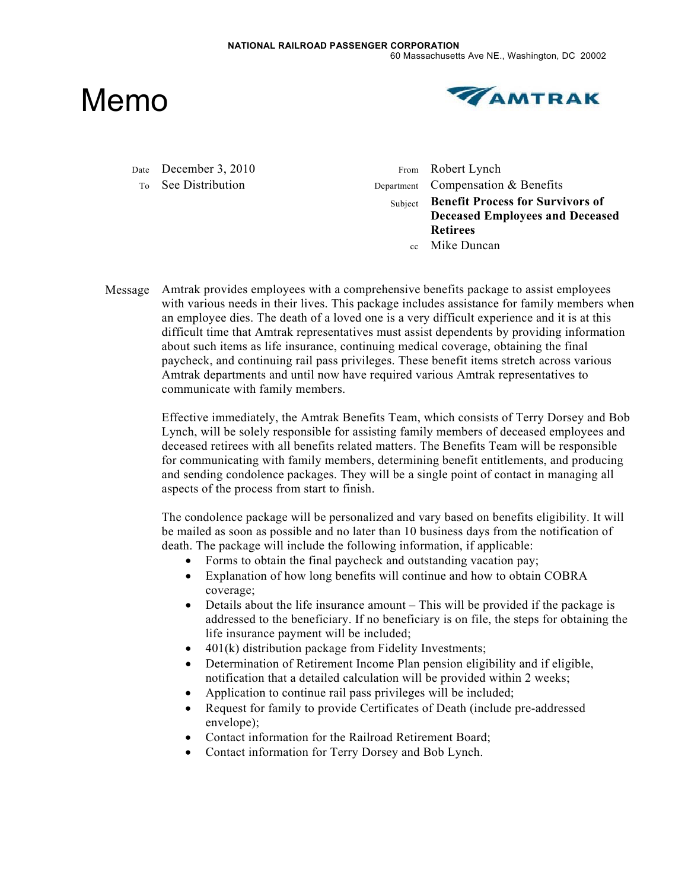Memo



Date December 3, 2010 From Robert Lynch

To See Distribution Department Compensation & Benefits Subject **Benefit Process for Survivors of Deceased Employees and Deceased Retirees**  cc Mike Duncan

Message Amtrak provides employees with a comprehensive benefits package to assist employees with various needs in their lives. This package includes assistance for family members when an employee dies. The death of a loved one is a very difficult experience and it is at this difficult time that Amtrak representatives must assist dependents by providing information about such items as life insurance, continuing medical coverage, obtaining the final paycheck, and continuing rail pass privileges. These benefit items stretch across various Amtrak departments and until now have required various Amtrak representatives to communicate with family members.

> Effective immediately, the Amtrak Benefits Team, which consists of Terry Dorsey and Bob Lynch, will be solely responsible for assisting family members of deceased employees and deceased retirees with all benefits related matters. The Benefits Team will be responsible for communicating with family members, determining benefit entitlements, and producing and sending condolence packages. They will be a single point of contact in managing all aspects of the process from start to finish.

The condolence package will be personalized and vary based on benefits eligibility. It will be mailed as soon as possible and no later than 10 business days from the notification of death. The package will include the following information, if applicable:

- Forms to obtain the final paycheck and outstanding vacation pay;
- Explanation of how long benefits will continue and how to obtain COBRA coverage;
- Details about the life insurance amount This will be provided if the package is addressed to the beneficiary. If no beneficiary is on file, the steps for obtaining the life insurance payment will be included;
- $\bullet$  401(k) distribution package from Fidelity Investments;
- ! Determination of Retirement Income Plan pension eligibility and if eligible, notification that a detailed calculation will be provided within 2 weeks;
- ! Application to continue rail pass privileges will be included;
- Request for family to provide Certificates of Death (include pre-addressed envelope);
- Contact information for the Railroad Retirement Board;
- ! Contact information for Terry Dorsey and Bob Lynch.